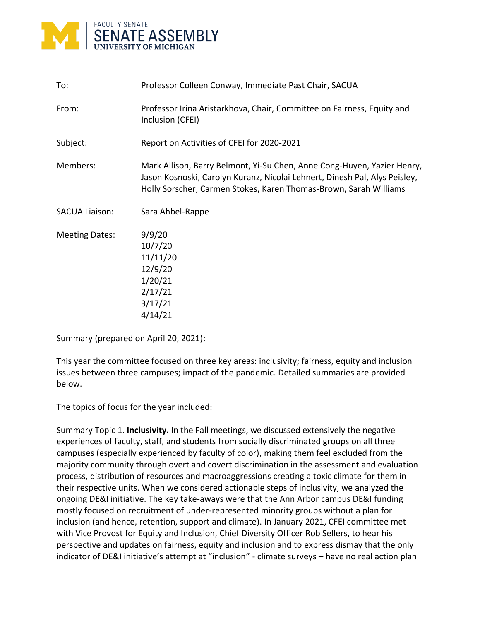

| To:                   | Professor Colleen Conway, Immediate Past Chair, SACUA                                                                                                                                                                      |
|-----------------------|----------------------------------------------------------------------------------------------------------------------------------------------------------------------------------------------------------------------------|
| From:                 | Professor Irina Aristarkhova, Chair, Committee on Fairness, Equity and<br>Inclusion (CFEI)                                                                                                                                 |
| Subject:              | Report on Activities of CFEI for 2020-2021                                                                                                                                                                                 |
| Members:              | Mark Allison, Barry Belmont, Yi-Su Chen, Anne Cong-Huyen, Yazier Henry,<br>Jason Kosnoski, Carolyn Kuranz, Nicolai Lehnert, Dinesh Pal, Alys Peisley,<br>Holly Sorscher, Carmen Stokes, Karen Thomas-Brown, Sarah Williams |
| <b>SACUA Liaison:</b> | Sara Ahbel-Rappe                                                                                                                                                                                                           |
| <b>Meeting Dates:</b> | 9/9/20<br>10/7/20<br>11/11/20<br>12/9/20<br>1/20/21<br>2/17/21<br>3/17/21<br>4/14/21                                                                                                                                       |

Summary (prepared on April 20, 2021):

This year the committee focused on three key areas: inclusivity; fairness, equity and inclusion issues between three campuses; impact of the pandemic. Detailed summaries are provided below.

The topics of focus for the year included:

Summary Topic 1. **Inclusivity.** In the Fall meetings, we discussed extensively the negative experiences of faculty, staff, and students from socially discriminated groups on all three campuses (especially experienced by faculty of color), making them feel excluded from the majority community through overt and covert discrimination in the assessment and evaluation process, distribution of resources and macroaggressions creating a toxic climate for them in their respective units. When we considered actionable steps of inclusivity, we analyzed the ongoing DE&I initiative. The key take-aways were that the Ann Arbor campus DE&I funding mostly focused on recruitment of under-represented minority groups without a plan for inclusion (and hence, retention, support and climate). In January 2021, CFEI committee met with Vice Provost for Equity and Inclusion, Chief Diversity Officer Rob Sellers, to hear his perspective and updates on fairness, equity and inclusion and to express dismay that the only indicator of DE&I initiative's attempt at "inclusion" - climate surveys – have no real action plan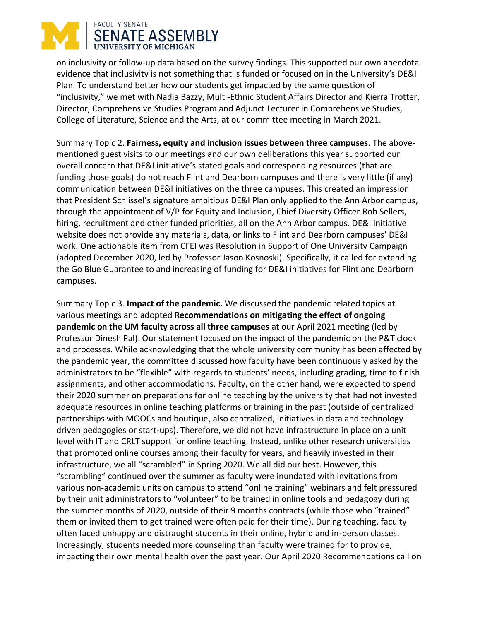## FACULTY SENATE **SENATE ASSEMBLY** UNIVERSITY OF MICHIGAN

on inclusivity or follow-up data based on the survey findings. This supported our own anecdotal evidence that inclusivity is not something that is funded or focused on in the University's DE&I Plan. To understand better how our students get impacted by the same question of "inclusivity," we met with Nadia Bazzy, Multi-Ethnic Student Affairs Director and Kierra Trotter, Director, Comprehensive Studies Program and Adjunct Lecturer in Comprehensive Studies, College of Literature, Science and the Arts, at our committee meeting in March 2021.

Summary Topic 2. **Fairness, equity and inclusion issues between three campuses**. The abovementioned guest visits to our meetings and our own deliberations this year supported our overall concern that DE&I initiative's stated goals and corresponding resources (that are funding those goals) do not reach Flint and Dearborn campuses and there is very little (if any) communication between DE&I initiatives on the three campuses. This created an impression that President Schlissel's signature ambitious DE&I Plan only applied to the Ann Arbor campus, through the appointment of V/P for Equity and Inclusion, Chief Diversity Officer Rob Sellers, hiring, recruitment and other funded priorities, all on the Ann Arbor campus. DE&I initiative website does not provide any materials, data, or links to Flint and Dearborn campuses' DE&I work. One actionable item from CFEI was Resolution in Support of One University Campaign (adopted December 2020, led by Professor Jason Kosnoski). Specifically, it called for extending the Go Blue Guarantee to and increasing of funding for DE&I initiatives for Flint and Dearborn campuses.

Summary Topic 3. **Impact of the pandemic.** We discussed the pandemic related topics at various meetings and adopted **Recommendations on mitigating the effect of ongoing pandemic on the UM faculty across all three campuses** at our April 2021 meeting (led by Professor Dinesh Pal). Our statement focused on the impact of the pandemic on the P&T clock and processes. While acknowledging that the whole university community has been affected by the pandemic year, the committee discussed how faculty have been continuously asked by the administrators to be "flexible" with regards to students' needs, including grading, time to finish assignments, and other accommodations. Faculty, on the other hand, were expected to spend their 2020 summer on preparations for online teaching by the university that had not invested adequate resources in online teaching platforms or training in the past (outside of centralized partnerships with MOOCs and boutique, also centralized, initiatives in data and technology driven pedagogies or start-ups). Therefore, we did not have infrastructure in place on a unit level with IT and CRLT support for online teaching. Instead, unlike other research universities that promoted online courses among their faculty for years, and heavily invested in their infrastructure, we all "scrambled" in Spring 2020. We all did our best. However, this "scrambling" continued over the summer as faculty were inundated with invitations from various non-academic units on campus to attend "online training" webinars and felt pressured by their unit administrators to "volunteer" to be trained in online tools and pedagogy during the summer months of 2020, outside of their 9 months contracts (while those who "trained" them or invited them to get trained were often paid for their time). During teaching, faculty often faced unhappy and distraught students in their online, hybrid and in-person classes. Increasingly, students needed more counseling than faculty were trained for to provide, impacting their own mental health over the past year. Our April 2020 Recommendations call on